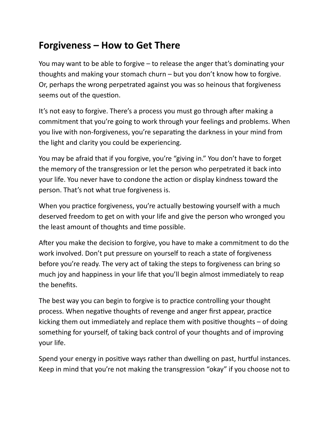## **Forgiveness – How to Get There**

You may want to be able to forgive  $-$  to release the anger that's dominating your thoughts and making your stomach churn  $-$  but you don't know how to forgive. Or, perhaps the wrong perpetrated against you was so heinous that forgiveness seems out of the question.

It's not easy to forgive. There's a process you must go through after making a commitment that you're going to work through your feelings and problems. When you live with non-forgiveness, you're separating the darkness in your mind from the light and clarity you could be experiencing.

You may be afraid that if you forgive, you're "giving in." You don't have to forget the memory of the transgression or let the person who perpetrated it back into your life. You never have to condone the action or display kindness toward the person. That's not what true forgiveness is.

When you practice forgiveness, you're actually bestowing yourself with a much deserved freedom to get on with your life and give the person who wronged you the least amount of thoughts and time possible.

After you make the decision to forgive, you have to make a commitment to do the work involved. Don't put pressure on yourself to reach a state of forgiveness before you're ready. The very act of taking the steps to forgiveness can bring so much joy and happiness in your life that you'll begin almost immediately to reap the benefits.

The best way you can begin to forgive is to practice controlling your thought process. When negative thoughts of revenge and anger first appear, practice kicking them out immediately and replace them with positive thoughts  $-$  of doing something for yourself, of taking back control of your thoughts and of improving your life.

Spend your energy in positive ways rather than dwelling on past, hurtful instances. Keep in mind that you're not making the transgression "okay" if you choose not to